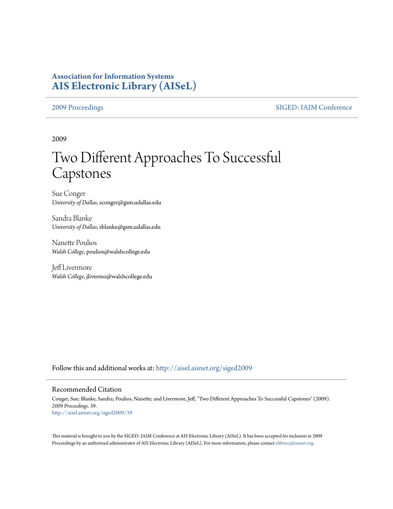## **Association for Information Systems [AIS Electronic Library \(AISeL\)](http://aisel.aisnet.org?utm_source=aisel.aisnet.org%2Fsiged2009%2F39&utm_medium=PDF&utm_campaign=PDFCoverPages)**

[2009 Proceedings](http://aisel.aisnet.org/siged2009?utm_source=aisel.aisnet.org%2Fsiged2009%2F39&utm_medium=PDF&utm_campaign=PDFCoverPages) [SIGED: IAIM Conference](http://aisel.aisnet.org/siged?utm_source=aisel.aisnet.org%2Fsiged2009%2F39&utm_medium=PDF&utm_campaign=PDFCoverPages)

2009

# Two Different Approaches To Successful Capstones

Sue Conger *University of Dallas*, sconger@gsm.udallas.edu

Sandra Blanke *University of Dallas*, sblanke@gsm.udallas.edu

Nanette Poulios *Walsh College*, poulios@walshcollege.edu

Jeff Livermore *Walsh College*, jlivermo@walshcollege.edu

Follow this and additional works at: [http://aisel.aisnet.org/siged2009](http://aisel.aisnet.org/siged2009?utm_source=aisel.aisnet.org%2Fsiged2009%2F39&utm_medium=PDF&utm_campaign=PDFCoverPages)

#### Recommended Citation

Conger, Sue; Blanke, Sandra; Poulios, Nanette; and Livermore, Jeff, "Two Different Approaches To Successful Capstones" (2009). *2009 Proceedings*. 39. [http://aisel.aisnet.org/siged2009/39](http://aisel.aisnet.org/siged2009/39?utm_source=aisel.aisnet.org%2Fsiged2009%2F39&utm_medium=PDF&utm_campaign=PDFCoverPages)

This material is brought to you by the SIGED: IAIM Conference at AIS Electronic Library (AISeL). It has been accepted for inclusion in 2009 Proceedings by an authorized administrator of AIS Electronic Library (AISeL). For more information, please contact [elibrary@aisnet.org](mailto:elibrary@aisnet.org%3E).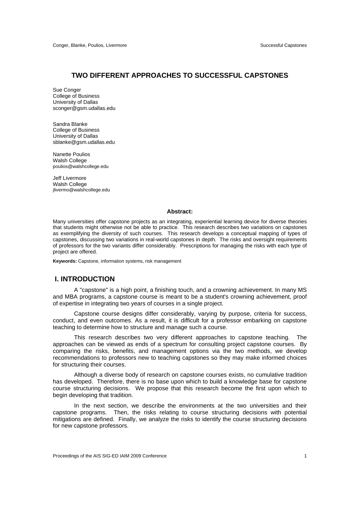#### **TWO DIFFERENT APPROACHES TO SUCCESSFUL CAPSTONES**

Sue Conger College of Business University of Dallas sconger@gsm.udallas.edu

Sandra Blanke College of Business University of Dallas sblanke@gsm.udallas.edu

Nanette Poulios Walsh College poulios@walshcollege.edu

Jeff Livermore Walsh College jlivermo@walshcollege.edu

#### **Abstract:**

Many universities offer capstone projects as an integrating, experiential learning device for diverse theories that students might otherwise not be able to practice. This research describes two variations on capstones as exemplifying the diversity of such courses. This research develops a conceptual mapping of types of capstones, discussing two variations in real-world capstones in depth. The risks and oversight requirements of professors for the two variants differ considerably. Prescriptions for managing the risks with each type of project are offered.

**Keywords:** Capstone, information systems, risk management

#### **I. INTRODUCTION**

A "capstone" is a high point, a finishing touch, and a crowning achievement. In many MS and MBA programs, a capstone course is meant to be a student's crowning achievement, proof of expertise in integrating two years of courses in a single project.

Capstone course designs differ considerably, varying by purpose, criteria for success, conduct, and even outcomes. As a result, it is difficult for a professor embarking on capstone teaching to determine how to structure and manage such a course.

This research describes two very different approaches to capstone teaching. The approaches can be viewed as ends of a spectrum for consulting project capstone courses. By comparing the risks, benefits, and management options via the two methods, we develop recommendations to professors new to teaching capstones so they may make informed choices for structuring their courses.

Although a diverse body of research on capstone courses exists, no cumulative tradition has developed. Therefore, there is no base upon which to build a knowledge base for capstone course structuring decisions. We propose that this research become the first upon which to begin developing that tradition.

In the next section, we describe the environments at the two universities and their capstone programs. Then, the risks relating to course structuring decisions with potential mitigations are defined. Finally, we analyze the risks to identify the course structuring decisions for new capstone professors.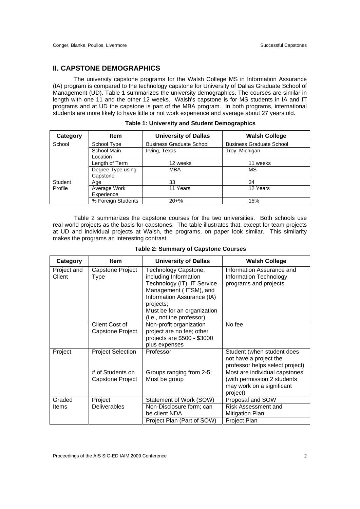#### **II. CAPSTONE DEMOGRAPHICS**

The university capstone programs for the Walsh College MS in Information Assurance (IA) program is compared to the technology capstone for University of Dallas Graduate School of Management (UD). Table 1 summarizes the university demographics. The courses are similar in length with one 11 and the other 12 weeks. Walsh's capstone is for MS students in IA and IT programs and at UD the capstone is part of the MBA program. In both programs, international students are more likely to have little or not work experience and average about 27 years old.

| Category | <b>Item</b>                          | <b>University of Dallas</b>     | <b>Walsh College</b>            |  |
|----------|--------------------------------------|---------------------------------|---------------------------------|--|
| School   | School Type                          | <b>Business Graduate School</b> | <b>Business Graduate School</b> |  |
|          | School Main<br>Irving, Texas         |                                 | Troy, Michigan                  |  |
|          | Location                             |                                 |                                 |  |
|          | Length of Term                       | 12 weeks                        | 11 weeks                        |  |
|          | Degree Type using<br>MBA<br>Capstone |                                 | МS                              |  |
| Student  | Age                                  | 33                              | 34                              |  |
| Profile  | Average Work                         | 11 Years                        | 12 Years                        |  |
|          | Experience                           |                                 |                                 |  |
|          | % Foreign Students                   | $20 + \%$                       | 15%                             |  |

| <b>Table 1: University and Student Demographics</b> |  |
|-----------------------------------------------------|--|
|-----------------------------------------------------|--|

Table 2 summarizes the capstone courses for the two universities. Both schools use real-world projects as the basis for capstones. The table illustrates that, except for team projects at UD and individual projects at Walsh, the programs, on paper look similar. This similarity makes the programs an interesting contrast.

| Category              | <b>Item</b>                          | <b>University of Dallas</b>                                                                                                                                                                                   | <b>Walsh College</b>                                                                                  |
|-----------------------|--------------------------------------|---------------------------------------------------------------------------------------------------------------------------------------------------------------------------------------------------------------|-------------------------------------------------------------------------------------------------------|
| Project and<br>Client | Capstone Project<br>Type             | Technology Capstone,<br>including Information<br>Technology (IT), IT Service<br>Management (ITSM), and<br>Information Assurance (IA)<br>projects;<br>Must be for an organization<br>(i.e., not the professor) | Information Assurance and<br>Information Technology<br>programs and projects                          |
|                       | Client Cost of<br>Capstone Project   | Non-profit organization<br>project are no fee; other<br>projects are \$500 - \$3000<br>plus expenses                                                                                                          | No fee                                                                                                |
| Project               | <b>Project Selection</b>             | Professor                                                                                                                                                                                                     | Student (when student does<br>not have a project the<br>professor helps select project)               |
|                       | # of Students on<br>Capstone Project | Groups ranging from 2-5;<br>Must be group                                                                                                                                                                     | Most are individual capstones<br>(with permission 2 students<br>may work on a significant<br>project) |
| Graded                | Project                              | Statement of Work (SOW)                                                                                                                                                                                       | Proposal and SOW                                                                                      |
| Items                 | <b>Deliverables</b>                  | Non-Disclosure form; can<br>be client NDA                                                                                                                                                                     | Risk Assessment and<br><b>Mitigation Plan</b>                                                         |
|                       |                                      | Project Plan (Part of SOW)                                                                                                                                                                                    | Project Plan                                                                                          |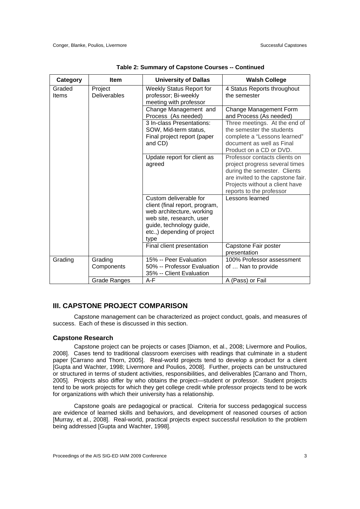| Category        | <b>Item</b>                    | <b>University of Dallas</b>                                                                                                                                                          | <b>Walsh College</b>                                                                                                                                                                               |
|-----------------|--------------------------------|--------------------------------------------------------------------------------------------------------------------------------------------------------------------------------------|----------------------------------------------------------------------------------------------------------------------------------------------------------------------------------------------------|
| Graded<br>Items | Project<br><b>Deliverables</b> | <b>Weekly Status Report for</b><br>professor; Bi-weekly<br>meeting with professor                                                                                                    | 4 Status Reports throughout<br>the semester                                                                                                                                                        |
|                 |                                | Change Management and<br>Process (As needed)                                                                                                                                         | Change Management Form<br>and Process (As needed)                                                                                                                                                  |
|                 |                                | 3 In-class Presentations:<br>SOW, Mid-term status,<br>Final project report (paper<br>and CD)                                                                                         | Three meetings. At the end of<br>the semester the students<br>complete a "Lessons learned"<br>document as well as Final<br>Product on a CD or DVD.                                                 |
|                 |                                | Update report for client as<br>agreed                                                                                                                                                | Professor contacts clients on<br>project progress several times<br>during the semester. Clients<br>are invited to the capstone fair.<br>Projects without a client have<br>reports to the professor |
|                 |                                | Custom deliverable for<br>client (final report, program,<br>web architecture, working<br>web site, research, user<br>guide, technology guide,<br>etc.,) depending of project<br>type | Lessons learned                                                                                                                                                                                    |
|                 |                                | Final client presentation                                                                                                                                                            | Capstone Fair poster<br>presentation                                                                                                                                                               |
| Grading         | Grading<br>Components          | 15% -- Peer Evaluation<br>50% -- Professor Evaluation<br>35% -- Client Evaluation                                                                                                    | 100% Professor assessment<br>of  Nan to provide                                                                                                                                                    |
|                 | Grade Ranges                   | $A-F$                                                                                                                                                                                | A (Pass) or Fail                                                                                                                                                                                   |

**Table 2: Summary of Capstone Courses -- Continued** 

#### **III. CAPSTONE PROJECT COMPARISON**

Capstone management can be characterized as project conduct, goals, and measures of success. Each of these is discussed in this section.

#### **Capstone Research**

Capstone project can be projects or cases [Diamon, et al., 2008; Livermore and Poulios, 2008]. Cases tend to traditional classroom exercises with readings that culminate in a student paper [Carrano and Thorn, 2005]. Real-world projects tend to develop a product for a client [Gupta and Wachter, 1998; Livermore and Poulios, 2008]. Further, projects can be unstructured or structured in terms of student activities, responsibilities, and deliverables [Carrano and Thorn, 2005]. Projects also differ by who obtains the project—student or professor. Student projects tend to be work projects for which they get college credit while professor projects tend to be work for organizations with which their university has a relationship.

Capstone goals are pedagogical or practical. Criteria for success pedagogical success are evidence of learned skills and behaviors, and development of reasoned courses of action [Murray, et al., 2008]. Real-world, practical projects expect successful resolution to the problem being addressed [Gupta and Wachter, 1998].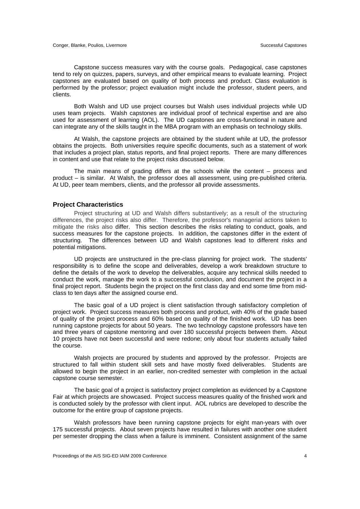Capstone success measures vary with the course goals. Pedagogical, case capstones tend to rely on quizzes, papers, surveys, and other empirical means to evaluate learning. Project capstones are evaluated based on quality of both process and product. Class evaluation is performed by the professor; project evaluation might include the professor, student peers, and clients.

Both Walsh and UD use project courses but Walsh uses individual projects while UD uses team projects. Walsh capstones are individual proof of technical expertise and are also used for assessment of learning (AOL). The UD capstones are cross-functional in nature and can integrate any of the skills taught in the MBA program with an emphasis on technology skills.

At Walsh, the capstone projects are obtained by the student while at UD, the professor obtains the projects. Both universities require specific documents, such as a statement of work that includes a project plan, status reports, and final project reports. There are many differences in content and use that relate to the project risks discussed below.

The main means of grading differs at the schools while the content – process and product – is similar. At Walsh, the professor does all assessment, using pre-published criteria. At UD, peer team members, clients, and the professor all provide assessments.

#### **Project Characteristics**

Project structuring at UD and Walsh differs substantively; as a result of the structuring differences, the project risks also differ. Therefore, the professor's managerial actions taken to mitigate the risks also differ. This section describes the risks relating to conduct, goals, and success measures for the capstone projects. In addition, the capstones differ in the extent of structuring. The differences between UD and Walsh capstones lead to different risks and potential mitigations.

UD projects are unstructured in the pre-class planning for project work. The students' responsibility is to define the scope and deliverables, develop a work breakdown structure to define the details of the work to develop the deliverables, acquire any technical skills needed to conduct the work, manage the work to a successful conclusion, and document the project in a final project report. Students begin the project on the first class day and end some time from midclass to ten days after the assigned course end.

The basic goal of a UD project is client satisfaction through satisfactory completion of project work. Project success measures both process and product, with 40% of the grade based of quality of the project process and 60% based on quality of the finished work. UD has been running capstone projects for about 50 years. The two technology capstone professors have ten and three years of capstone mentoring and over 180 successful projects between them. About 10 projects have not been successful and were redone; only about four students actually failed the course.

Walsh projects are procured by students and approved by the professor. Projects are structured to fall within student skill sets and have mostly fixed deliverables. Students are allowed to begin the project in an earlier, non-credited semester with completion in the actual capstone course semester.

The basic goal of a project is satisfactory project completion as evidenced by a Capstone Fair at which projects are showcased. Project success measures quality of the finished work and is conducted solely by the professor with client input. AOL rubrics are developed to describe the outcome for the entire group of capstone projects.

Walsh professors have been running capstone projects for eight man-years with over 175 successful projects. About seven projects have resulted in failures with another one student per semester dropping the class when a failure is imminent. Consistent assignment of the same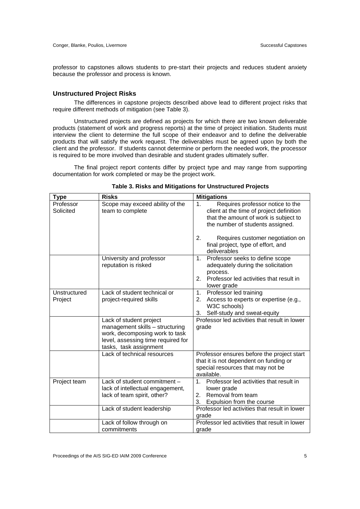professor to capstones allows students to pre-start their projects and reduces student anxiety because the professor and process is known.

#### **Unstructured Project Risks**

The differences in capstone projects described above lead to different project risks that require different methods of mitigation (see Table 3).

Unstructured projects are defined as projects for which there are two known deliverable products (statement of work and progress reports) at the time of project initiation. Students must interview the client to determine the full scope of their endeavor and to define the deliverable products that will satisfy the work request. The deliverables must be agreed upon by both the client and the professor. If students cannot determine or perform the needed work, the processor is required to be more involved than desirable and student grades ultimately suffer.

The final project report contents differ by project type and may range from supporting documentation for work completed or may be the project work.

| <b>Type</b>             | <b>Risks</b>                                                                                                                                                 | <b>Mitigations</b>                                                                                                                                                          |
|-------------------------|--------------------------------------------------------------------------------------------------------------------------------------------------------------|-----------------------------------------------------------------------------------------------------------------------------------------------------------------------------|
| Professor<br>Solicited  | Scope may exceed ability of the<br>team to complete                                                                                                          | Requires professor notice to the<br>1 <sub>1</sub><br>client at the time of project definition<br>that the amount of work is subject to<br>the number of students assigned. |
|                         |                                                                                                                                                              | 2.<br>Requires customer negotiation on<br>final project, type of effort, and<br>deliverables                                                                                |
|                         | University and professor<br>reputation is risked                                                                                                             | Professor seeks to define scope<br>1.<br>adequately during the solicitation<br>process.<br>Professor led activities that result in<br>2.<br>lower grade                     |
| Unstructured<br>Project | Lack of student technical or<br>project-required skills                                                                                                      | Professor led training<br>1.<br>Access to experts or expertise (e.g.,<br>2.<br>W3C schools)<br>3.<br>Self-study and sweat-equity                                            |
|                         | Lack of student project<br>management skills - structuring<br>work, decomposing work to task<br>level, assessing time required for<br>tasks, task assignment | Professor led activities that result in lower<br>grade                                                                                                                      |
|                         | Lack of technical resources                                                                                                                                  | Professor ensures before the project start<br>that it is not dependent on funding or<br>special resources that may not be<br>available.                                     |
| Project team            | Lack of student commitment -<br>lack of intellectual engagement,<br>lack of team spirit, other?                                                              | Professor led activities that result in<br>1 <sup>1</sup><br>lower grade<br>Removal from team<br>2.<br>3.<br>Expulsion from the course                                      |
|                         | Lack of student leadership                                                                                                                                   | Professor led activities that result in lower<br>grade                                                                                                                      |
|                         | Lack of follow through on<br>commitments                                                                                                                     | Professor led activities that result in lower<br>grade                                                                                                                      |

| Table 3. Risks and Mitigations for Unstructured Projects |  |  |  |  |  |  |  |  |
|----------------------------------------------------------|--|--|--|--|--|--|--|--|
|----------------------------------------------------------|--|--|--|--|--|--|--|--|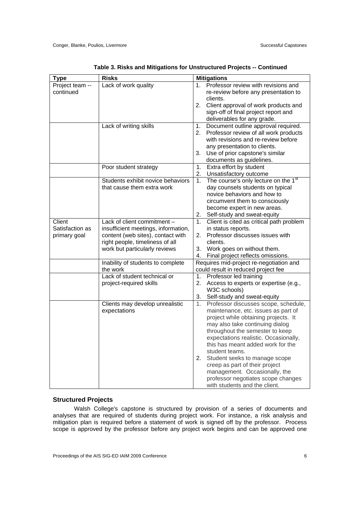| <b>Type</b>     | <b>Risks</b>                        |                | <b>Mitigations</b>                               |  |  |
|-----------------|-------------------------------------|----------------|--------------------------------------------------|--|--|
| Project team -- | Lack of work quality                | 1 <sub>1</sub> | Professor review with revisions and              |  |  |
| continued       |                                     |                | re-review before any presentation to             |  |  |
|                 |                                     |                | clients.                                         |  |  |
|                 |                                     | 2.             | Client approval of work products and             |  |  |
|                 |                                     |                | sign-off of final project report and             |  |  |
|                 |                                     |                | deliverables for any grade.                      |  |  |
|                 | Lack of writing skills              | 1.             | Document outline approval required.              |  |  |
|                 |                                     | 2.             | Professor review of all work products            |  |  |
|                 |                                     |                | with revisions and re-review before              |  |  |
|                 |                                     |                | any presentation to clients.                     |  |  |
|                 |                                     | 3.             | Use of prior capstone's similar                  |  |  |
|                 |                                     |                | documents as guidelines.                         |  |  |
|                 | Poor student strategy               | 1.             | Extra effort by student                          |  |  |
|                 |                                     | 2.             | Unsatisfactory outcome                           |  |  |
|                 | Students exhibit novice behaviors   | 1.             | The course's only lecture on the 1 <sup>st</sup> |  |  |
|                 | that cause them extra work          |                | day counsels students on typical                 |  |  |
|                 |                                     |                | novice behaviors and how to                      |  |  |
|                 |                                     |                | circumvent them to consciously                   |  |  |
|                 |                                     |                | become expert in new areas.                      |  |  |
|                 |                                     | 2.             | Self-study and sweat-equity                      |  |  |
| Client          | Lack of client commitment -         | $1_{\cdot}$    | Client is cited as critical path problem         |  |  |
| Satisfaction as | insufficient meetings, information, |                | in status reports.                               |  |  |
| primary goal    | content (web sites), contact with   | 2.             | Professor discusses issues with                  |  |  |
|                 | right people, timeliness of all     |                | clients.                                         |  |  |
|                 | work but particularly reviews       | 3.             | Work goes on without them.                       |  |  |
|                 |                                     | 4.             | Final project reflects omissions.                |  |  |
|                 | Inability of students to complete   |                | Requires mid-project re-negotiation and          |  |  |
|                 | the work                            |                | could result in reduced project fee              |  |  |
|                 | Lack of student technical or        | 1.             | Professor led training                           |  |  |
|                 | project-required skills             | 2.             | Access to experts or expertise (e.g.,            |  |  |
|                 |                                     |                | W3C schools)                                     |  |  |
|                 |                                     | 3.             | Self-study and sweat-equity                      |  |  |
|                 | Clients may develop unrealistic     | 1.             | Professor discusses scope, schedule,             |  |  |
|                 | expectations                        |                | maintenance, etc. issues as part of              |  |  |
|                 |                                     |                | project while obtaining projects. It             |  |  |
|                 |                                     |                | may also take continuing dialog                  |  |  |
|                 |                                     |                | throughout the semester to keep                  |  |  |
|                 |                                     |                | expectations realistic. Occasionally,            |  |  |
|                 |                                     |                | this has meant added work for the                |  |  |
|                 |                                     |                | student teams.                                   |  |  |
|                 |                                     | 2.             | Student seeks to manage scope                    |  |  |
|                 |                                     |                | creep as part of their project                   |  |  |
|                 |                                     |                | management. Occasionally, the                    |  |  |
|                 |                                     |                | professor negotiates scope changes               |  |  |
|                 |                                     |                | with students and the client.                    |  |  |
|                 |                                     |                |                                                  |  |  |

#### **Structured Projects**

Walsh College's capstone is structured by provision of a series of documents and analyses that are required of students during project work. For instance, a risk analysis and mitigation plan is required before a statement of work is signed off by the professor. Process scope is approved by the professor before any project work begins and can be approved one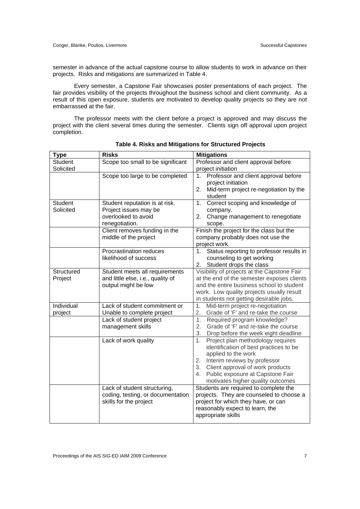semester in advance of the actual capstone course to allow students to work in advance on their projects. Risks and mitigations are summarized in Table 4.

Every semester, a Capstone Fair showcases poster presentations of each project. The fair provides visibility of the projects throughout the business school and client community. As a result of this open exposure, students are motivated to develop quality projects so they are not embarrassed at the fair.

The professor meets with the client before a project is approved and may discuss the project with the client several times during the semester. Clients sign off approval upon project completion.

| <b>Type</b>                 | <b>Risks</b>                                                                                     | <b>Mitigations</b>                                                                                                                                                                                                                                                   |
|-----------------------------|--------------------------------------------------------------------------------------------------|----------------------------------------------------------------------------------------------------------------------------------------------------------------------------------------------------------------------------------------------------------------------|
| <b>Student</b>              | Scope too small to be significant                                                                | Professor and client approval before                                                                                                                                                                                                                                 |
| Solicited                   |                                                                                                  | project initiation                                                                                                                                                                                                                                                   |
|                             | Scope too large to be completed                                                                  | Professor and client approval before<br>1.<br>project initiation<br>2. Mid-term project re-negotiation by the<br>student                                                                                                                                             |
| <b>Student</b><br>Solicited | Student reputation is at risk.<br>Project issues may be<br>overlooked to avoid<br>renegotiation. | Correct scoping and knowledge of<br>1.<br>company.<br>Change management to renegotiate<br>2.<br>scope.                                                                                                                                                               |
|                             | Client removes funding in the<br>middle of the project                                           | Finish the project for the class but the<br>company probably does not use the<br>project work.                                                                                                                                                                       |
|                             | Procrastination reduces<br>likelihood of success                                                 | Status reporting to professor results in<br>1.<br>counseling to get working<br>Student drops the class<br>2.                                                                                                                                                         |
| Structured<br>Project       | Student meets all requirements<br>and little else, i.e., quality of<br>output might be low       | Visibility of projects at the Capstone Fair<br>at the end of the semester exposes clients<br>and the entire business school to student<br>work. Low quality projects usually result<br>in students not getting desirable jobs.                                       |
| Individual<br>project       | Lack of student commitment or<br>Unable to complete project                                      | Mid-term project re-negotiation<br>1.<br>Grade of 'F' and re-take the course<br>2.                                                                                                                                                                                   |
|                             | Lack of student project<br>management skills                                                     | Required program knowledge?<br>1 <sub>1</sub><br>Grade of 'F' and re-take the course<br>2.<br>3.<br>Drop before the week eight deadline                                                                                                                              |
|                             | Lack of work quality                                                                             | 1.<br>Project plan methodology requires<br>identification of best practices to be<br>applied to the work<br>2. Interim reviews by professor<br>Client approval of work products<br>3.<br>Public exposure at Capstone Fair<br>4.<br>motivates higher quality outcomes |
|                             | Lack of student structuring,<br>coding, testing, or documentation<br>skills for the project      | Students are required to complete the<br>projects. They are counseled to choose a<br>project for which they have, or can<br>reasonably expect to learn, the<br>appropriate skills                                                                                    |

**Table 4. Risks and Mitigations for Structured Projects**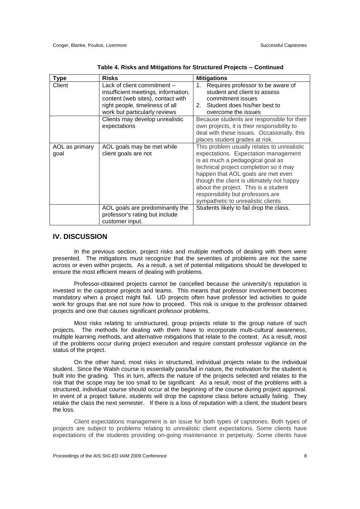| <b>Type</b>            | <b>Risks</b>                                                                                                                                                                | <b>Mitigations</b>                                                                                                                                                                                                                                                                                                                                                       |
|------------------------|-----------------------------------------------------------------------------------------------------------------------------------------------------------------------------|--------------------------------------------------------------------------------------------------------------------------------------------------------------------------------------------------------------------------------------------------------------------------------------------------------------------------------------------------------------------------|
| Client                 | Lack of client commitment -<br>insufficient meetings, information,<br>content (web sites), contact with<br>right people, timeliness of all<br>work but particularly reviews | Requires professor to be aware of<br>1.<br>student and client to assess<br>commitment issues<br>2. Student does his/her best to<br>overcome the issues                                                                                                                                                                                                                   |
|                        | Clients may develop unrealistic<br>expectations                                                                                                                             | Because students are responsible for their<br>own projects, it is their responsibility to<br>deal with these issues. Occasionally, this<br>places student grades at risk.                                                                                                                                                                                                |
| AOL as primary<br>goal | AOL goals may be met while<br>client goals are not                                                                                                                          | This problem usually relates to unrealistic<br>expectations. Expectation management<br>is as much a pedagogical goal as<br>technical project completion so it may<br>happen that AOL goals are met even<br>though the client is ultimately not happy<br>about the project. This is a student<br>responsibility but professors are<br>sympathetic to unrealistic clients. |
|                        | AOL goals are predominantly the<br>professor's rating but include<br>customer input.                                                                                        | Students likely to fail drop the class.                                                                                                                                                                                                                                                                                                                                  |

#### **IV. DISCUSSION**

In the previous section, project risks and multiple methods of dealing with them were presented. The mitigations must recognize that the severities of problems are not the same across or even within projects. As a result, a set of potential mitigations should be developed to ensure the most efficient means of dealing with problems.

Professor-obtained projects cannot be cancelled because the university's reputation is invested in the capstone projects and teams. This means that professor involvement becomes mandatory when a project might fail. UD projects often have professor led activities to guide work for groups that are not sure how to proceed. This risk is unique to the professor obtained projects and one that causes significant professor problems.

Most risks relating to unstructured, group projects relate to the group nature of such projects. The methods for dealing with them have to incorporate multi-cultural awareness, multiple learning methods, and alternative mitigations that relate to the context. As a result, most of the problems occur during project execution and require constant professor vigilance on the status of the project.

On the other hand, most risks in structured, individual projects relate to the individual student. Since the Walsh course is essentially pass/fail in nature, the motivation for the student is built into the grading. This in turn, affects the nature of the projects selected and relates to the risk that the scope may be too small to be significant. As a result, most of the problems with a structured, individual course should occur at the beginning of the course during project approval. In event of a project failure, students will drop the capstone class before actually failing. They retake the class the next semester. If there is a loss of reputation with a client, the student bears the loss.

Client expectations management is an issue for both types of capstones. Both types of projects are subject to problems relating to unrealistic client expectations. Some clients have expectations of the students providing on-going maintenance in perpetuity. Some clients have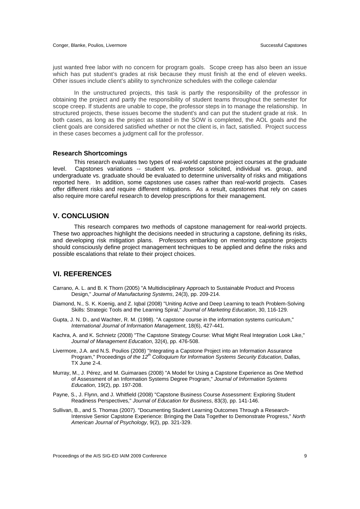just wanted free labor with no concern for program goals. Scope creep has also been an issue which has put student's grades at risk because they must finish at the end of eleven weeks. Other issues include client's ability to synchronize schedules with the college calendar

In the unstructured projects, this task is partly the responsibility of the professor in obtaining the project and partly the responsibility of student teams throughout the semester for scope creep. If students are unable to cope, the professor steps in to manage the relationship. In structured projects, these issues become the student's and can put the student grade at risk. In both cases, as long as the project as stated in the SOW is completed, the AOL goals and the client goals are considered satisfied whether or not the client is, in fact, satisfied. Project success in these cases becomes a judgment call for the professor.

#### **Research Shortcomings**

This research evaluates two types of real-world capstone project courses at the graduate level. Capstones variations -- student vs. professor solicited, individual vs. group, and undergraduate vs. graduate should be evaluated to determine universality of risks and mitigations reported here. In addition, some capstones use cases rather than real-world projects. Cases offer different risks and require different mitigations. As a result, capstones that rely on cases also require more careful research to develop prescriptions for their management.

#### **V. CONCLUSION**

This research compares two methods of capstone management for real-world projects. These two approaches highlight the decisions needed in structuring a capstone, defining its risks, and developing risk mitigation plans. Professors embarking on mentoring capstone projects should consciously define project management techniques to be applied and define the risks and possible escalations that relate to their project choices.

### **VI. REFERENCES**

- Carrano, A. L. and B. K Thorn (2005) "A Multidisciplinary Approach to Sustainable Product and Process Design," *Journal of Manufacturing Systems*, 24(3), pp. 209-214.
- Diamond, N., S. K. Koenig, and Z. Iqbal (2008) "Uniting Active and Deep Learning to teach Problem-Solving Skills: Strategic Tools and the Learning Spiral," *Journal of Marketing Education*, 30, 116-129.
- Gupta, J. N. D., and Wachter, R. M. (1998). "A capstone course in the information systems curriculum," *International Journal of Information Management*, 18(6), 427-441.
- Kachra, A. and K. Schnietz (2008) "The Capstone Strategy Course: What Might Real Integration Look Like," *Journal of Management Education*, 32(4), pp. 476-508.
- Livermore, J.A. and N.S. Poulios (2008) "Integrating a Capstone Project into an Information Assurance Program," Proceedings *of the 12th Colloquium for Information Systems Security Education*, Dallas, TX June 2-4.
- Murray, M., J. Pérez, and M. Guimaraes (2008) "A Model for Using a Capstone Experience as One Method of Assessment of an Information Systems Degree Program," *Journal of Information Systems Education,* 19(2), pp. 197-208.
- Payne, S., J. Flynn, and J. Whitfield (2008) "Capstone Business Course Assessment: Exploring Student Readiness Perspectives," *Journal of Education for Business*, 83(3), pp. 141-146.
- Sullivan, B., and S. Thomas (2007). "Documenting Student Learning Outcomes Through a Research-Intensive Senior Capstone Experience: Bringing the Data Together to Demonstrate Progress," *North American Journal of Psychology*, 9(2), pp. 321-329.